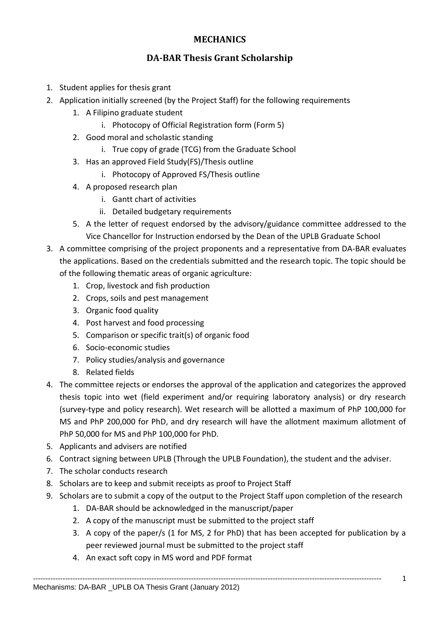## **MECHANICS**

## **DA-BAR Thesis Grant Scholarship**

- 1. Student applies for thesis grant
- 2. Application initially screened (by the Project Staff) for the following requirements
	- 1. A Filipino graduate student
		- i. Photocopy of Official Registration form (Form 5)
	- 2. Good moral and scholastic standing
		- i. True copy of grade (TCG) from the Graduate School
	- 3. Has an approved Field Study(FS)/Thesis outline
		- i. Photocopy of Approved FS/Thesis outline
	- 4. A proposed research plan
		- i. Gantt chart of activities
		- ii. Detailed budgetary requirements
	- 5. A the letter of request endorsed by the advisory/guidance committee addressed to the Vice Chancellor for Instruction endorsed by the Dean of the UPLB Graduate School
- 3. A committee comprising of the project proponents and a representative from DA-BAR evaluates the applications. Based on the credentials submitted and the research topic. The topic should be of the following thematic areas of organic agriculture:
	- 1. Crop, livestock and fish production
	- 2. Crops, soils and pest management
	- 3. Organic food quality
	- 4. Post harvest and food processing
	- 5. Comparison or specific trait(s) of organic food
	- 6. Socio-economic studies
	- 7. Policy studies/analysis and governance
	- 8. Related fields
- 4. The committee rejects or endorses the approval of the application and categorizes the approved thesis topic into wet (field experiment and/or requiring laboratory analysis) or dry research (survey-type and policy research). Wet research will be allotted a maximum of PhP 100,000 for MS and PhP 200,000 for PhD, and dry research will have the allotment maximum allotment of PhP 50,000 for MS and PhP 100,000 for PhD.
- 5. Applicants and advisers are notified
- 6. Contract signing between UPLB (Through the UPLB Foundation), the student and the adviser.
- 7. The scholar conducts research
- 8. Scholars are to keep and submit receipts as proof to Project Staff
- 9. Scholars are to submit a copy of the output to the Project Staff upon completion of the research
	- 1. DA-BAR should be acknowledged in the manuscript/paper
	- 2. A copy of the manuscript must be submitted to the project staff
	- 3. A copy of the paper/s (1 for MS, 2 for PhD) that has been accepted for publication by a peer reviewed journal must be submitted to the project staff
	- 4. An exact soft copy in MS word and PDF format